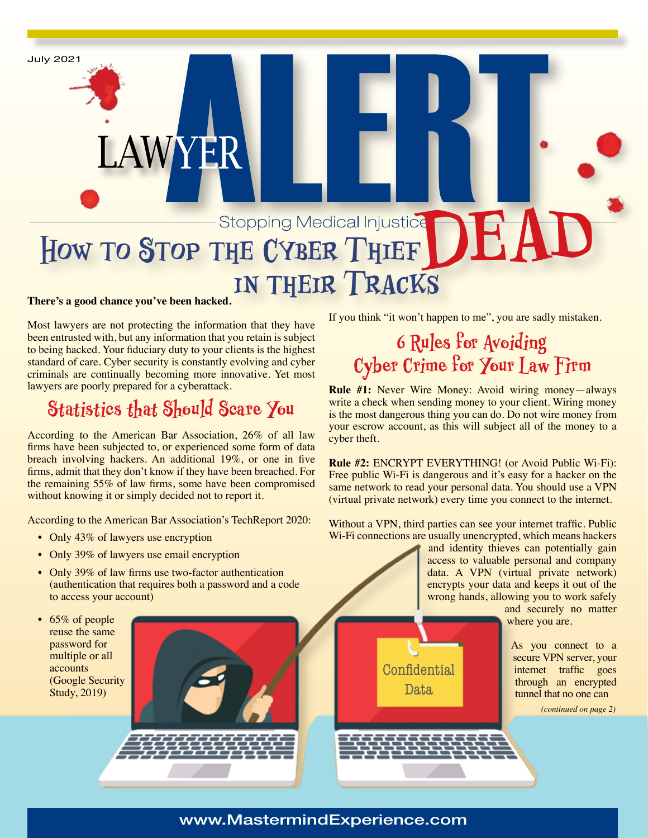# **HOW TO STOP THE CYBER THIEF DEAD in their Tracks**

#### **There's a good chance you've been hacked.**

July 2021

Most lawyers are not protecting the information that they have been entrusted with, but any information that you retain is subject to being hacked. Your fiduciary duty to your clients is the highest standard of care. Cyber security is constantly evolving and cyber criminals are continually becoming more innovative. Yet most lawyers are poorly prepared for a cyberattack.

LAWYER

### **Statistics that Should Scare You**

According to the American Bar Association, 26% of all law firms have been subjected to, or experienced some form of data breach involving hackers. An additional 19%, or one in five firms, admit that they don't know if they have been breached. For the remaining 55% of law firms, some have been compromised without knowing it or simply decided not to report it.

According to the American Bar Association's TechReport 2020:

- Only 43% of lawyers use encryption
- Only 39% of lawyers use email encryption
- Only 39% of law firms use two-factor authentication (authentication that requires both a password and a code to access your account)
- 65% of people reuse the same password for multiple or all accounts (Google Security Study, 2019)



If you think "it won't happen to me", you are sadly mistaken.

### **6 Rules for Avoiding Cyber Crime for Your Law Firm**

**Rule #1:** Never Wire Money: Avoid wiring money—always write a check when sending money to your client. Wiring money is the most dangerous thing you can do. Do not wire money from your escrow account, as this will subject all of the money to a cyber theft.

**Rule #2:** ENCRYPT EVERYTHING! (or Avoid Public Wi-Fi): Free public Wi-Fi is dangerous and it's easy for a hacker on the same network to read your personal data. You should use a VPN (virtual private network) every time you connect to the internet.

Without a VPN, third parties can see your internet traffic. Public Wi-Fi connections are usually unencrypted, which means hackers

> Confidential Data

and identity thieves can potentially gain access to valuable personal and company data. A VPN (virtual private network) encrypts your data and keeps it out of the wrong hands, allowing you to work safely and securely no matter

where you are.

As you connect to a secure VPN server, your internet traffic goes through an encrypted tunnel that no one can

*(continued on page 2)*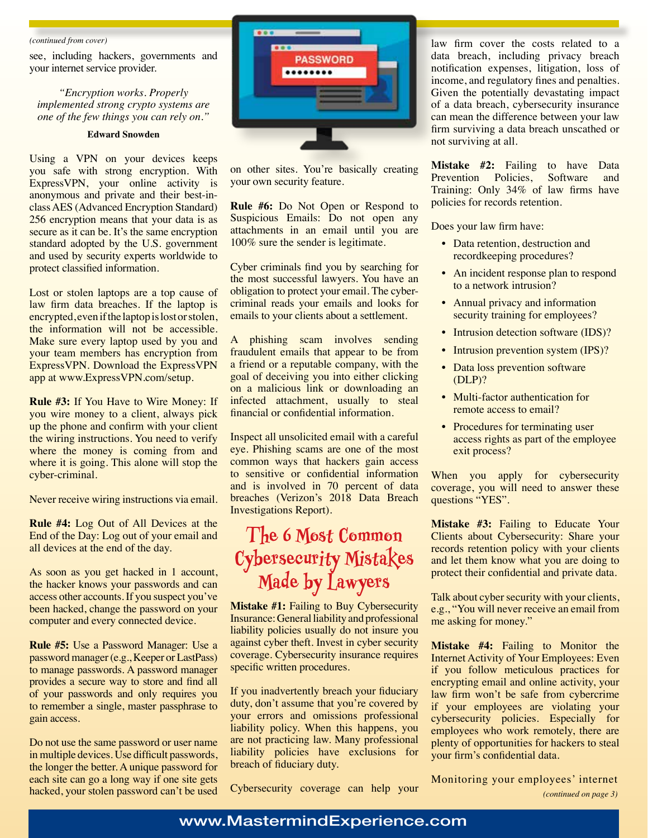#### *(continued from cover)*

see, including hackers, governments and your internet service provider.

*"Encryption works. Properly implemented strong crypto systems are one of the few things you can rely on."*

#### **Edward Snowden**

Using a VPN on your devices keeps you safe with strong encryption. With ExpressVPN, your online activity is anonymous and private and their best-inclass AES (Advanced Encryption Standard) 256 encryption means that your data is as secure as it can be. It's the same encryption standard adopted by the U.S. government and used by security experts worldwide to protect classified information.

Lost or stolen laptops are a top cause of law firm data breaches. If the laptop is encrypted, even if the laptop is lost or stolen, the information will not be accessible. Make sure every laptop used by you and your team members has encryption from ExpressVPN. Download the ExpressVPN app at www.ExpressVPN.com/setup.

**Rule #3:** If You Have to Wire Money: If you wire money to a client, always pick up the phone and confirm with your client the wiring instructions. You need to verify where the money is coming from and where it is going. This alone will stop the cyber-criminal.

Never receive wiring instructions via email.

**Rule #4:** Log Out of All Devices at the End of the Day: Log out of your email and all devices at the end of the day.

As soon as you get hacked in 1 account, the hacker knows your passwords and can access other accounts. If you suspect you've been hacked, change the password on your computer and every connected device.

**Rule #5:** Use a Password Manager: Use a password manager (e.g., Keeper or LastPass) to manage passwords. A password manager provides a secure way to store and find all of your passwords and only requires you to remember a single, master passphrase to gain access.

Do not use the same password or user name in multiple devices. Use difficult passwords, the longer the better. A unique password for each site can go a long way if one site gets hacked, your stolen password can't be used



on other sites. You're basically creating your own security feature.

**Rule #6:** Do Not Open or Respond to Suspicious Emails: Do not open any attachments in an email until you are 100% sure the sender is legitimate.

Cyber criminals find you by searching for the most successful lawyers. You have an obligation to protect your email. The cybercriminal reads your emails and looks for emails to your clients about a settlement.

A phishing scam involves sending fraudulent emails that appear to be from a friend or a reputable company, with the goal of deceiving you into either clicking on a malicious link or downloading an infected attachment, usually to steal financial or confidential information.

Inspect all unsolicited email with a careful eye. Phishing scams are one of the most common ways that hackers gain access to sensitive or confidential information and is involved in 70 percent of data breaches (Verizon's 2018 Data Breach Investigations Report).

### **The 6 Most Common Cybersecurity Mistakes Made by Lawyers**

**Mistake #1:** Failing to Buy Cybersecurity Insurance: General liability and professional liability policies usually do not insure you against cyber theft. Invest in cyber security coverage. Cybersecurity insurance requires specific written procedures.

If you inadvertently breach your fiduciary duty, don't assume that you're covered by your errors and omissions professional liability policy. When this happens, you are not practicing law. Many professional liability policies have exclusions for breach of fiduciary duty.

Cybersecurity coverage can help your

law firm cover the costs related to a data breach, including privacy breach notification expenses, litigation, loss of income, and regulatory fines and penalties. Given the potentially devastating impact of a data breach, cybersecurity insurance can mean the difference between your law firm surviving a data breach unscathed or not surviving at all.

**Mistake #2:** Failing to have Data Prevention Policies, Software and Training: Only 34% of law firms have policies for records retention.

Does your law firm have:

- Data retention, destruction and recordkeeping procedures?
- An incident response plan to respond to a network intrusion?
- Annual privacy and information security training for employees?
- Intrusion detection software (IDS)?
- Intrusion prevention system (IPS)?
- Data loss prevention software (DLP)?
- Multi-factor authentication for remote access to email?
- Procedures for terminating user access rights as part of the employee exit process?

When you apply for cybersecurity coverage, you will need to answer these questions "YES".

**Mistake #3:** Failing to Educate Your Clients about Cybersecurity: Share your records retention policy with your clients and let them know what you are doing to protect their confidential and private data.

Talk about cyber security with your clients, e.g., "You will never receive an email from me asking for money."

**Mistake #4:** Failing to Monitor the Internet Activity of Your Employees: Even if you follow meticulous practices for encrypting email and online activity, your law firm won't be safe from cybercrime if your employees are violating your cybersecurity policies. Especially for employees who work remotely, there are plenty of opportunities for hackers to steal your firm's confidential data.

Monitoring your employees' internet *(continued on page 3)*

### www.MastermindExperience.com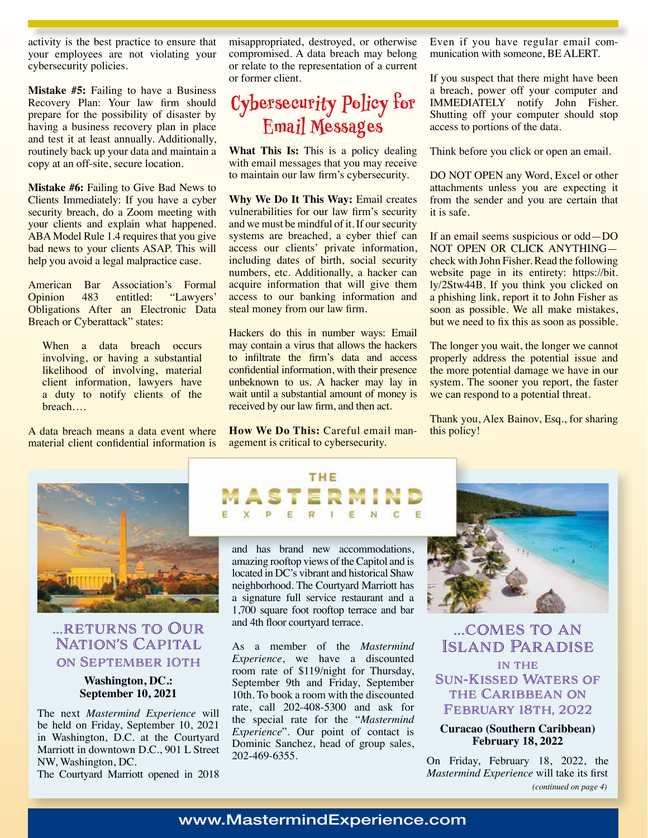activity is the best practice to ensure that your employees are not violating your cybersecurity policies.

**Mistake #5:** Failing to have a Business Recovery Plan: Your law firm should prepare for the possibility of disaster by having a business recovery plan in place and test it at least annually. Additionally, routinely back up your data and maintain a copy at an off-site, secure location.

**Mistake #6:** Failing to Give Bad News to Clients Immediately: If you have a cyber security breach, do a Zoom meeting with your clients and explain what happened. ABA Model Rule 1.4 requires that you give bad news to your clients ASAP. This will help you avoid a legal malpractice case.

American Bar Association's Formal<br>Opinion 483 entitled: "Lawyers" "Lawyers" Obligations After an Electronic Data Breach or Cyberattack" states:

When a data breach occurs involving, or having a substantial likelihood of involving, material client information, lawyers have a duty to notify clients of the breach….

A data breach means a data event where material client confidential information is misappropriated, destroyed, or otherwise compromised. A data breach may belong or relate to the representation of a current or former client.

### **Cybersecurity Policy for Email Messages**

**What This Is:** This is a policy dealing with email messages that you may receive to maintain our law firm's cybersecurity.

**Why We Do It This Way:** Email creates vulnerabilities for our law firm's security and we must be mindful of it. If our security systems are breached, a cyber thief can access our clients' private information, including dates of birth, social security numbers, etc. Additionally, a hacker can acquire information that will give them access to our banking information and steal money from our law firm.

Hackers do this in number ways: Email may contain a virus that allows the hackers to infiltrate the firm's data and access confidential information, with their presence unbeknown to us. A hacker may lay in wait until a substantial amount of money is received by our law firm, and then act.

**How We Do This:** Careful email management is critical to cybersecurity.

Even if you have regular email communication with someone, BE ALERT.

If you suspect that there might have been a breach, power off your computer and IMMEDIATELY notify John Fisher. Shutting off your computer should stop access to portions of the data.

Think before you click or open an email.

DO NOT OPEN any Word, Excel or other attachments unless you are expecting it from the sender and you are certain that it is safe.

If an email seems suspicious or odd—DO NOT OPEN OR CLICK ANYTHING check with John Fisher. Read the following website page in its entirety: https://bit. ly/2Stw44B. If you think you clicked on a phishing link, report it to John Fisher as soon as possible. We all make mistakes, but we need to fix this as soon as possible.

The longer you wait, the longer we cannot properly address the potential issue and the more potential damage we have in our system. The sooner you report, the faster we can respond to a potential threat.

Thank you, Alex Bainov, Esq., for sharing this policy!



### ...returns to Our Nation's Capital on September 10th

### **Washington, DC.: September 10, 2021**

The next *Mastermind Experience* will be held on Friday, September 10, 2021 in Washington, D.C. at the Courtyard Marriott in downtown D.C., 901 L Street NW, Washington, DC.

The Courtyard Marriott opened in 2018

### THE E  $\overline{c}$

and has brand new accommodations, amazing rooftop views of the Capitol and is located in DC's vibrant and historical Shaw neighborhood. The Courtyard Marriott has a signature full service restaurant and a 1,700 square foot rooftop terrace and bar and 4th floor courtyard terrace.

As a member of the *Mastermind Experience*, we have a discounted room rate of \$119/night for Thursday, September 9th and Friday, September 10th. To book a room with the discounted rate, call 202-408-5300 and ask for the special rate for the "*Mastermind Experience*". Our point of contact is Dominic Sanchez, head of group sales, 202-469-6355.



...comes to an Island Paradise

in the Sun-Kissed Waters of the Caribbean on February 18th, 2022

**Curacao (Southern Caribbean) February 18, 2022**

On Friday, February 18, 2022, the *Mastermind Experience* will take its first *(continued on page 4)*